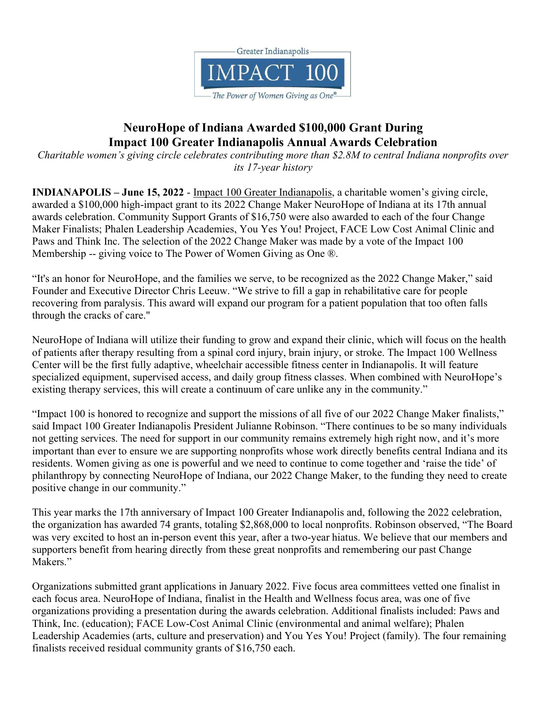

## NeuroHope of Indiana Awarded \$100,000 Grant During Impact 100 Greater Indianapolis Annual Awards Celebration

Charitable women's giving circle celebrates contributing more than \$2.8M to central Indiana nonprofits over its 17-year history

INDIANAPOLIS – June 15, 2022 - Impact 100 Greater Indianapolis, a charitable women's giving circle, awarded a \$100,000 high-impact grant to its 2022 Change Maker NeuroHope of Indiana at its 17th annual awards celebration. Community Support Grants of \$16,750 were also awarded to each of the four Change Maker Finalists; Phalen Leadership Academies, You Yes You! Project, FACE Low Cost Animal Clinic and Paws and Think Inc. The selection of the 2022 Change Maker was made by a vote of the Impact 100 Membership -- giving voice to The Power of Women Giving as One ®.

"It's an honor for NeuroHope, and the families we serve, to be recognized as the 2022 Change Maker," said Founder and Executive Director Chris Leeuw. "We strive to fill a gap in rehabilitative care for people recovering from paralysis. This award will expand our program for a patient population that too often falls through the cracks of care."

NeuroHope of Indiana will utilize their funding to grow and expand their clinic, which will focus on the health of patients after therapy resulting from a spinal cord injury, brain injury, or stroke. The Impact 100 Wellness Center will be the first fully adaptive, wheelchair accessible fitness center in Indianapolis. It will feature specialized equipment, supervised access, and daily group fitness classes. When combined with NeuroHope's existing therapy services, this will create a continuum of care unlike any in the community."

"Impact 100 is honored to recognize and support the missions of all five of our 2022 Change Maker finalists," said Impact 100 Greater Indianapolis President Julianne Robinson. "There continues to be so many individuals not getting services. The need for support in our community remains extremely high right now, and it's more important than ever to ensure we are supporting nonprofits whose work directly benefits central Indiana and its residents. Women giving as one is powerful and we need to continue to come together and 'raise the tide' of philanthropy by connecting NeuroHope of Indiana, our 2022 Change Maker, to the funding they need to create positive change in our community."

This year marks the 17th anniversary of Impact 100 Greater Indianapolis and, following the 2022 celebration, the organization has awarded 74 grants, totaling \$2,868,000 to local nonprofits. Robinson observed, "The Board was very excited to host an in-person event this year, after a two-year hiatus. We believe that our members and supporters benefit from hearing directly from these great nonprofits and remembering our past Change Makers."

Organizations submitted grant applications in January 2022. Five focus area committees vetted one finalist in each focus area. NeuroHope of Indiana, finalist in the Health and Wellness focus area, was one of five organizations providing a presentation during the awards celebration. Additional finalists included: Paws and Think, Inc. (education); FACE Low-Cost Animal Clinic (environmental and animal welfare); Phalen Leadership Academies (arts, culture and preservation) and You Yes You! Project (family). The four remaining finalists received residual community grants of \$16,750 each.